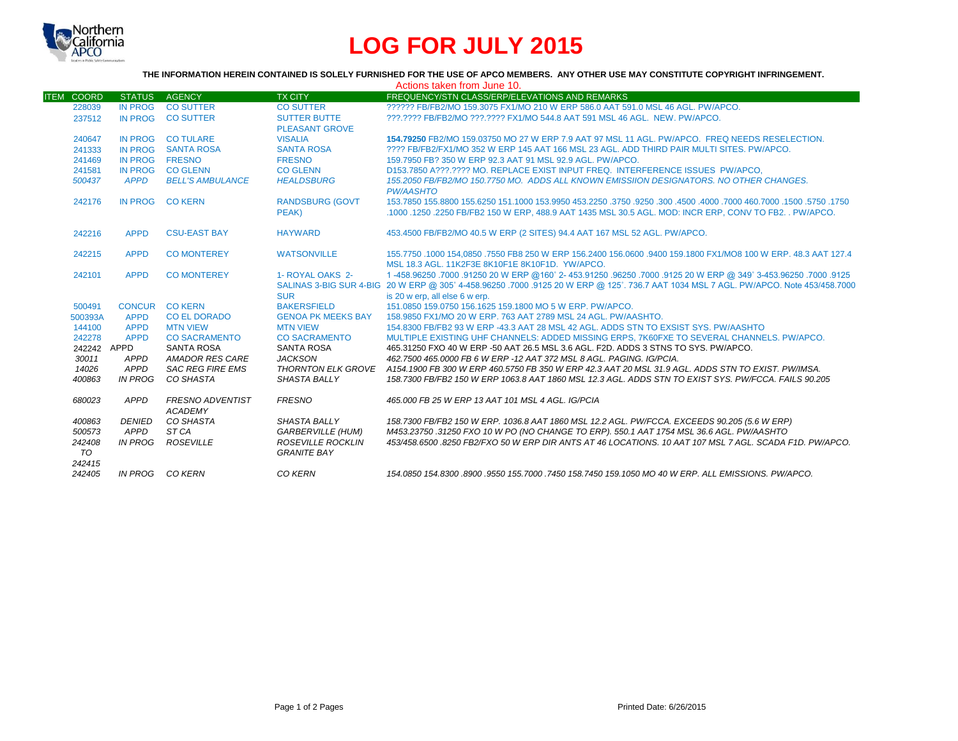

# **LOG FOR JULY 2015**

### **THE INFORMATION HEREIN CONTAINED IS SOLELY FURNISHED FOR THE USE OF APCO MEMBERS. ANY OTHER USE MAY CONSTITUTE COPYRIGHT INFRINGEMENT.**

| Actions taken from June 10. |                |                         |                           |                                                                                                                                       |  |  |  |
|-----------------------------|----------------|-------------------------|---------------------------|---------------------------------------------------------------------------------------------------------------------------------------|--|--|--|
| <b>ITEM COORD</b>           | <b>STATUS</b>  | <b>AGENCY</b>           | <b>TX CITY</b>            | <b>FREQUENCY/STN CLASS/ERP/ELEVATIONS AND REMARKS</b>                                                                                 |  |  |  |
| 228039                      | <b>IN PROG</b> | <b>CO SUTTER</b>        | <b>CO SUTTER</b>          | ?????? FB/FB2/MO 159.3075 FX1/MO 210 W ERP 586.0 AAT 591.0 MSL 46 AGL, PW/APCO.                                                       |  |  |  |
| 237512                      | <b>IN PROG</b> | <b>CO SUTTER</b>        | <b>SUTTER BUTTE</b>       | ???.???? FB/FB2/MO ???.???? FX1/MO 544.8 AAT 591 MSL 46 AGL. NEW. PW/APCO.                                                            |  |  |  |
|                             |                |                         | <b>PLEASANT GROVE</b>     |                                                                                                                                       |  |  |  |
| 240647                      | <b>IN PROG</b> | <b>CO TULARE</b>        | <b>VISALIA</b>            | 154.79250 FB2/MO 159.03750 MO 27 W ERP 7.9 AAT 97 MSL 11 AGL, PW/APCO. FREQ NEEDS RESELECTION.                                        |  |  |  |
| 241333                      | <b>IN PROG</b> | <b>SANTA ROSA</b>       | <b>SANTA ROSA</b>         | ???? FB/FB2/FX1/MO 352 W ERP 145 AAT 166 MSL 23 AGL. ADD THIRD PAIR MULTI SITES, PW/APCO.                                             |  |  |  |
| 241469                      | IN PROG        | <b>FRESNO</b>           | <b>FRESNO</b>             | 159.7950 FB? 350 W ERP 92.3 AAT 91 MSL 92.9 AGL. PW/APCO.                                                                             |  |  |  |
| 241581                      | <b>IN PROG</b> | <b>CO GLENN</b>         | <b>CO GLENN</b>           | D153.7850 A???.???? MO. REPLACE EXIST INPUT FREQ. INTERFERENCE ISSUES PW/APCO.                                                        |  |  |  |
| 500437                      | <b>APPD</b>    | <b>BELL'S AMBULANCE</b> | <b>HEALDSBURG</b>         | 155.2050 FB/FB2/MO 150.7750 MO. ADDS ALL KNOWN EMISSIION DESIGNATORS. NO OTHER CHANGES.                                               |  |  |  |
|                             |                |                         |                           | <b>PW/AASHTO</b>                                                                                                                      |  |  |  |
| 242176                      | <b>IN PROG</b> | <b>CO KERN</b>          | <b>RANDSBURG (GOVT</b>    | 1750, 1750, 1500, 1600, 1000 1600, 1000 4500 1600, 1750 1750, 1750 153,9950 161,1000 155,6250 155,6250 155,6250                       |  |  |  |
|                             |                |                         | PEAK)                     | .1000 .1250 .2250 FB/FB2 150 W ERP. 488.9 AAT 1435 MSL 30.5 AGL. MOD: INCR ERP. CONV TO FB2. . PW/APCO.                               |  |  |  |
|                             |                |                         |                           |                                                                                                                                       |  |  |  |
| 242216                      | <b>APPD</b>    | <b>CSU-EAST BAY</b>     | <b>HAYWARD</b>            | 453.4500 FB/FB2/MO 40.5 W ERP (2 SITES) 94.4 AAT 167 MSL 52 AGL, PW/APCO.                                                             |  |  |  |
|                             |                |                         |                           |                                                                                                                                       |  |  |  |
| 242215                      | <b>APPD</b>    | <b>CO MONTEREY</b>      | <b>WATSONVILLE</b>        | 155,7750 .1000 154,0850 .7550 FB8 250 W ERP 156,2400 156,0600 .9400 159,1800 FX1/MO8 100 W ERP, 48,3 AAT 127,4                        |  |  |  |
|                             |                |                         |                           | MSL 18.3 AGL, 11K2F3E 8K10F1E 8K10F1D, YW/APCO,                                                                                       |  |  |  |
| 242101                      | <b>APPD</b>    | <b>CO MONTEREY</b>      | 1- ROYAL OAKS 2-          | 125 (.007. 5453.96250 349° 3453.96250 96250 96250. 96250 96250 96250 -5125 1-458.96250 97000.9125                                     |  |  |  |
|                             |                |                         |                           | SALINAS 3-BIG SUR 4-BIG 20 W ERP @ 305° 4-458.96250 .7000 .9125 20 W ERP @ 125°. 736.7 AAT 1034 MSL 7 AGL. PW/APCO. Note 453/458.7000 |  |  |  |
|                             |                |                         | <b>SUR</b>                | is 20 w erp. all else 6 w erp.                                                                                                        |  |  |  |
| 500491                      |                | CONCUR CO KERN          | <b>BAKERSFIELD</b>        | 151.0850 159.0750 156.1625 159.1800 MO 5 W ERP. PW/APCO.                                                                              |  |  |  |
| 500393A                     | <b>APPD</b>    | <b>CO EL DORADO</b>     | <b>GENOA PK MEEKS BAY</b> | 158,9850 FX1/MO 20 W ERP. 763 AAT 2789 MSL 24 AGL. PW/AASHTO.                                                                         |  |  |  |
| 144100                      | <b>APPD</b>    | <b>MTN VIEW</b>         | <b>MTN VIEW</b>           | 154,8300 FB/FB2 93 W ERP -43.3 AAT 28 MSL 42 AGL, ADDS STN TO EXSIST SYS, PW/AASHTO                                                   |  |  |  |
| 242278                      | <b>APPD</b>    | <b>CO SACRAMENTO</b>    | <b>CO SACRAMENTO</b>      | MULTIPLE EXISTING UHF CHANNELS: ADDED MISSING ERPS, 7K60FXE TO SEVERAL CHANNELS, PW/APCO,                                             |  |  |  |
| 242242 APPD                 |                | <b>SANTA ROSA</b>       | <b>SANTA ROSA</b>         | 465,31250 FXO 40 W ERP -50 AAT 26.5 MSL 3.6 AGL, F2D, ADDS 3 STNS TO SYS, PW/APCO,                                                    |  |  |  |
| 30011                       | APPD           | <b>AMADOR RES CARE</b>  | <b>JACKSON</b>            | 462.7500 465.0000 FB 6 W ERP -12 AAT 372 MSL 8 AGL. PAGING. IG/PCIA.                                                                  |  |  |  |
| 14026                       | APPD           | <b>SAC REG FIRE EMS</b> |                           | THORNTON ELK GROVE A154.1900 FB 300 W ERP 460.5750 FB 350 W ERP 42.3 AAT 20 MSL 31.9 AGL. ADDS STN TO EXIST. PW/IMSA.                 |  |  |  |
| 400863                      | <b>IN PROG</b> | CO SHASTA               | <b>SHASTA BALLY</b>       | 158.7300 FB/FB2 150 W ERP 1063.8 AAT 1860 MSL 12.3 AGL. ADDS STN TO EXIST SYS. PW/FCCA. FAILS 90.205                                  |  |  |  |
|                             |                |                         |                           |                                                                                                                                       |  |  |  |
| 680023                      | APPD           | <b>FRESNO ADVENTIST</b> | <b>FRESNO</b>             | 465,000 FB 25 W ERP 13 AAT 101 MSL 4 AGL. IG/PCIA                                                                                     |  |  |  |
|                             |                | <b>ACADEMY</b>          |                           |                                                                                                                                       |  |  |  |
| 400863                      | <b>DENIED</b>  | CO SHASTA               | <b>SHASTA BALLY</b>       | 158.7300 FB/FB2 150 W ERP. 1036.8 AAT 1860 MSL 12.2 AGL. PW/FCCA. EXCEEDS 90.205 (5.6 W ERP)                                          |  |  |  |
| 500573                      | APPD           | ST CA                   | <b>GARBERVILLE (HUM)</b>  | M453.23750 .31250 FXO 10 W PO (NO CHANGE TO ERP). 550.1 AAT 1754 MSL 36.6 AGL. PW/AASHTO                                              |  |  |  |
| 242408                      | <b>IN PROG</b> | <b>ROSEVILLE</b>        | ROSEVILLE ROCKLIN         | 453/458.6500.8250 FB2/FXO 50 W ERP DIR ANTS AT 46 LOCATIONS. 10 AAT 107 MSL 7 AGL. SCADA F1D. PW/APCO.                                |  |  |  |
| <b>TO</b>                   |                |                         | <b>GRANITE BAY</b>        |                                                                                                                                       |  |  |  |
| 242415                      |                |                         |                           |                                                                                                                                       |  |  |  |
| 242405                      |                | IN PROG CO KERN         | CO KERN                   | 154.0850 154.8300 8900 9550 155.7000 7450 158.7450 159.1050 MO 40 W ERP. ALL EMISSIONS, PW/APCO.                                      |  |  |  |
|                             |                |                         |                           |                                                                                                                                       |  |  |  |